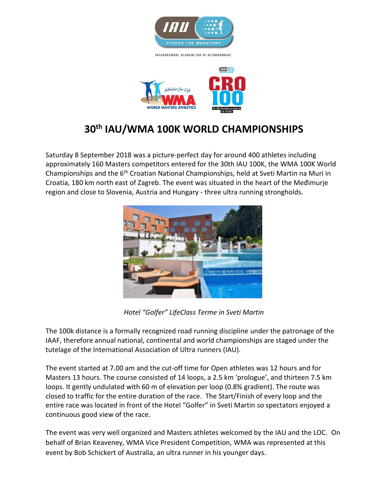

INTERNATIONAL ASSOCIATION OF ULTRARUNDERS



## **30th IAU/WMA 100K [WORLD CHAMPIONSHIPS](http://www.wmra.info/news/latest-news-from-the-wmra/657-world-masters-mountain-running-championships-a-resounding-success)**

Saturday 8 September 2018 was a picture-perfect day for around 400 athletes including approximately 160 Masters competitors entered for the 30th IAU 100K, the WMA 100K World Championships and the 6<sup>th</sup> Croatian National Championships, held at Sveti Martin na Muri in Croatia, 180 km north east of Zagreb. The event was situated in the heart of the Međimurje region and close to Slovenia, Austria and Hungary - three ultra running strongholds.



*Hotel "Golfer" LifeClass Terme in Sveti Martin*

The 100k distance is a formally recognized road running discipline under the patronage of the IAAF, therefore annual national, continental and world championships are staged under the tutelage of the International Association of Ultra runners (IAU).

The event started at 7.00 am and the cut-off time for Open athletes was 12 hours and for Masters 13 hours. The course consisted of 14 loops, a 2.5 km 'prologue', and thirteen 7.5 km loops. It gently undulated with 60 m of elevation per loop (0.8% gradient). The route was closed to traffic for the entire duration of the race. The Start/Finish of every loop and the entire race was located in front of the Hotel "Golfer" in Sveti Martin so spectators enjoyed a continuous good view of the race.

The event was very well organized and Masters athletes welcomed by the IAU and the LOC. On behalf of Brian Keaveney, WMA Vice President Competition, WMA was represented at this event by Bob Schickert of Australia, an ultra runner in his younger days.